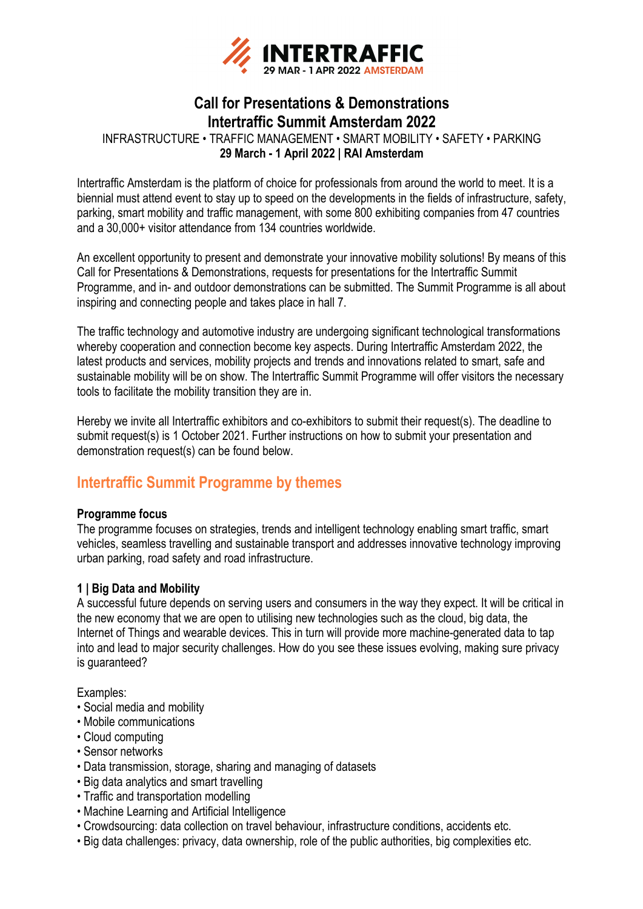

# **Call for Presentations & Demonstrations Intertraffic Summit Amsterdam 2022**

INFRASTRUCTURE • TRAFFIC MANAGEMENT • SMART MOBILITY • SAFETY • PARKING **29 March - 1 April 2022 | RAI Amsterdam**

Intertraffic Amsterdam is the platform of choice for professionals from around the world to meet. It is a biennial must attend event to stay up to speed on the developments in the fields of infrastructure, safety, parking, smart mobility and traffic management, with some 800 exhibiting companies from 47 countries and a 30,000+ visitor attendance from 134 countries worldwide.

An excellent opportunity to present and demonstrate your innovative mobility solutions! By means of this Call for Presentations & Demonstrations, requests for presentations for the Intertraffic Summit Programme, and in- and outdoor demonstrations can be submitted. The Summit Programme is all about inspiring and connecting people and takes place in hall 7.

The traffic technology and automotive industry are undergoing significant technological transformations whereby cooperation and connection become key aspects. During Intertraffic Amsterdam 2022, the latest products and services, mobility projects and trends and innovations related to smart, safe and sustainable mobility will be on show. The Intertraffic Summit Programme will offer visitors the necessary tools to facilitate the mobility transition they are in.

Hereby we invite all Intertraffic exhibitors and co-exhibitors to submit their request(s). The deadline to submit request(s) is 1 October 2021. Further instructions on how to submit your presentation and demonstration request(s) can be found below.

# **Intertraffic Summit Programme by themes**

# **Programme focus**

The programme focuses on strategies, trends and intelligent technology enabling smart traffic, smart vehicles, seamless travelling and sustainable transport and addresses innovative technology improving urban parking, road safety and road infrastructure.

## **1 | Big Data and Mobility**

A successful future depends on serving users and consumers in the way they expect. It will be critical in the new economy that we are open to utilising new technologies such as the cloud, big data, the Internet of Things and wearable devices. This in turn will provide more machine-generated data to tap into and lead to major security challenges. How do you see these issues evolving, making sure privacy is guaranteed?

- Social media and mobility
- Mobile communications
- Cloud computing
- Sensor networks
- Data transmission, storage, sharing and managing of datasets
- Big data analytics and smart travelling
- Traffic and transportation modelling
- Machine Learning and Artificial Intelligence
- Crowdsourcing: data collection on travel behaviour, infrastructure conditions, accidents etc.
- Big data challenges: privacy, data ownership, role of the public authorities, big complexities etc.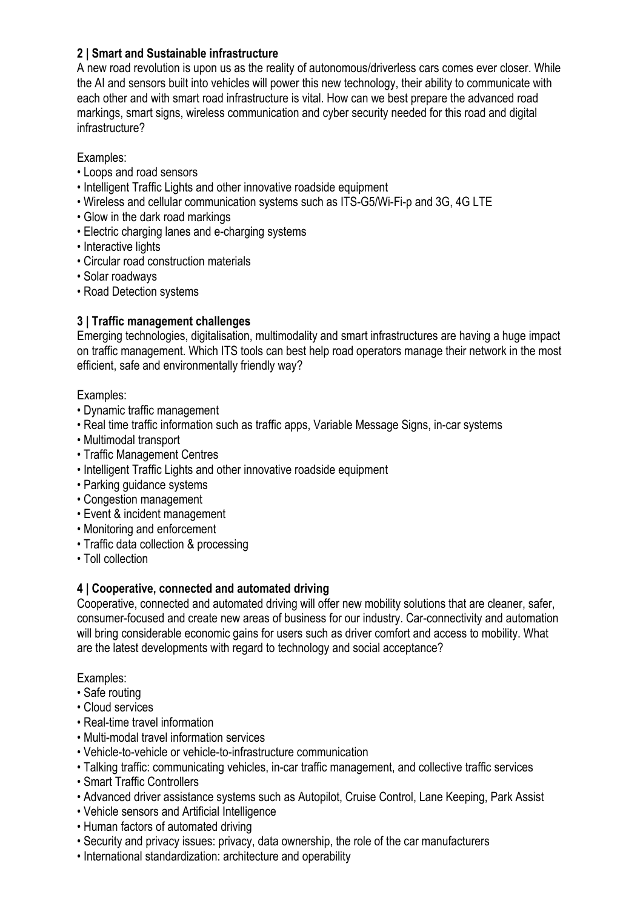# **2 | Smart and Sustainable infrastructure**

A new road revolution is upon us as the reality of autonomous/driverless cars comes ever closer. While the AI and sensors built into vehicles will power this new technology, their ability to communicate with each other and with smart road infrastructure is vital. How can we best prepare the advanced road markings, smart signs, wireless communication and cyber security needed for this road and digital infrastructure?

Examples:

- Loops and road sensors
- Intelligent Traffic Lights and other innovative roadside equipment
- Wireless and cellular communication systems such as ITS-G5/Wi-Fi-p and 3G, 4G LTE
- Glow in the dark road markings
- Electric charging lanes and e-charging systems
- Interactive lights
- Circular road construction materials
- Solar roadways
- Road Detection systems

# **3 | Traffic management challenges**

Emerging technologies, digitalisation, multimodality and smart infrastructures are having a huge impact on traffic management. Which ITS tools can best help road operators manage their network in the most efficient, safe and environmentally friendly way?

## Examples:

- Dynamic traffic management
- Real time traffic information such as traffic apps, Variable Message Signs, in-car systems
- Multimodal transport
- Traffic Management Centres
- Intelligent Traffic Lights and other innovative roadside equipment
- Parking guidance systems
- Congestion management
- Event & incident management
- Monitoring and enforcement
- Traffic data collection & processing
- Toll collection

# **4 | Cooperative, connected and automated driving**

Cooperative, connected and automated driving will offer new mobility solutions that are cleaner, safer, consumer-focused and create new areas of business for our industry. Car-connectivity and automation will bring considerable economic gains for users such as driver comfort and access to mobility. What are the latest developments with regard to technology and social acceptance?

- Safe routing
- Cloud services
- Real-time travel information
- Multi-modal travel information services
- Vehicle-to-vehicle or vehicle-to-infrastructure communication
- Talking traffic: communicating vehicles, in-car traffic management, and collective traffic services
- Smart Traffic Controllers
- Advanced driver assistance systems such as Autopilot, Cruise Control, Lane Keeping, Park Assist
- Vehicle sensors and Artificial Intelligence
- Human factors of automated driving
- Security and privacy issues: privacy, data ownership, the role of the car manufacturers
- International standardization: architecture and operability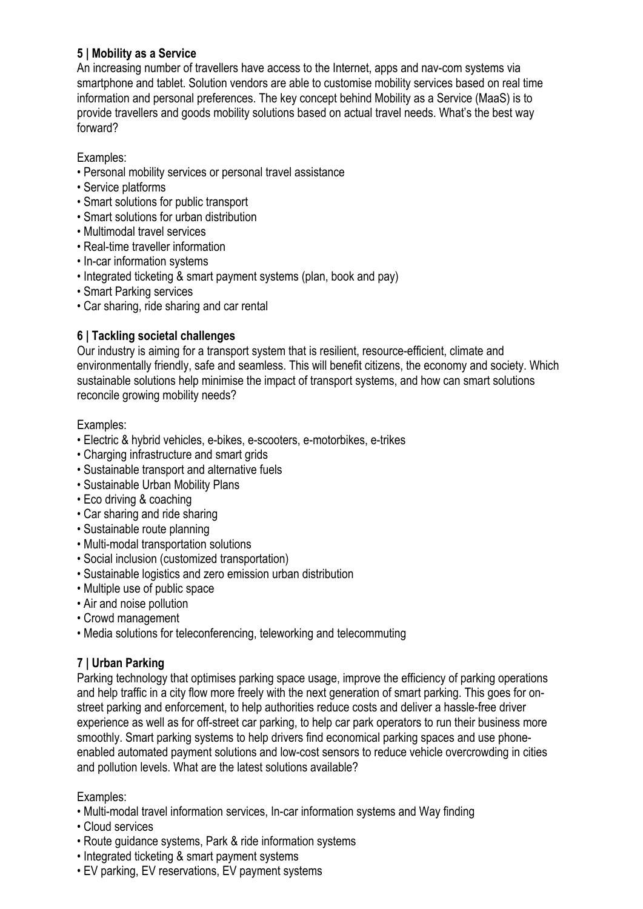# **5 | Mobility as a Service**

An increasing number of travellers have access to the Internet, apps and nav-com systems via smartphone and tablet. Solution vendors are able to customise mobility services based on real time information and personal preferences. The key concept behind Mobility as a Service (MaaS) is to provide travellers and goods mobility solutions based on actual travel needs. What's the best way forward?

## Examples:

- Personal mobility services or personal travel assistance
- Service platforms
- Smart solutions for public transport
- Smart solutions for urban distribution
- Multimodal travel services
- Real-time traveller information
- In-car information systems
- Integrated ticketing & smart payment systems (plan, book and pay)
- Smart Parking services
- Car sharing, ride sharing and car rental

# **6 | Tackling societal challenges**

Our industry is aiming for a transport system that is resilient, resource-efficient, climate and environmentally friendly, safe and seamless. This will benefit citizens, the economy and society. Which sustainable solutions help minimise the impact of transport systems, and how can smart solutions reconcile growing mobility needs?

## Examples:

- Electric & hybrid vehicles, e-bikes, e-scooters, e-motorbikes, e-trikes
- Charging infrastructure and smart grids
- Sustainable transport and alternative fuels
- Sustainable Urban Mobility Plans
- Eco driving & coaching
- Car sharing and ride sharing
- Sustainable route planning
- Multi-modal transportation solutions
- Social inclusion (customized transportation)
- Sustainable logistics and zero emission urban distribution
- Multiple use of public space
- Air and noise pollution
- Crowd management
- Media solutions for teleconferencing, teleworking and telecommuting

# **7 | Urban Parking**

Parking technology that optimises parking space usage, improve the efficiency of parking operations and help traffic in a city flow more freely with the next generation of smart parking. This goes for onstreet parking and enforcement, to help authorities reduce costs and deliver a hassle-free driver experience as well as for off-street car parking, to help car park operators to run their business more smoothly. Smart parking systems to help drivers find economical parking spaces and use phoneenabled automated payment solutions and low-cost sensors to reduce vehicle overcrowding in cities and pollution levels. What are the latest solutions available?

- Multi-modal travel information services, In-car information systems and Way finding
- Cloud services
- Route guidance systems, Park & ride information systems
- Integrated ticketing & smart payment systems
- EV parking, EV reservations, EV payment systems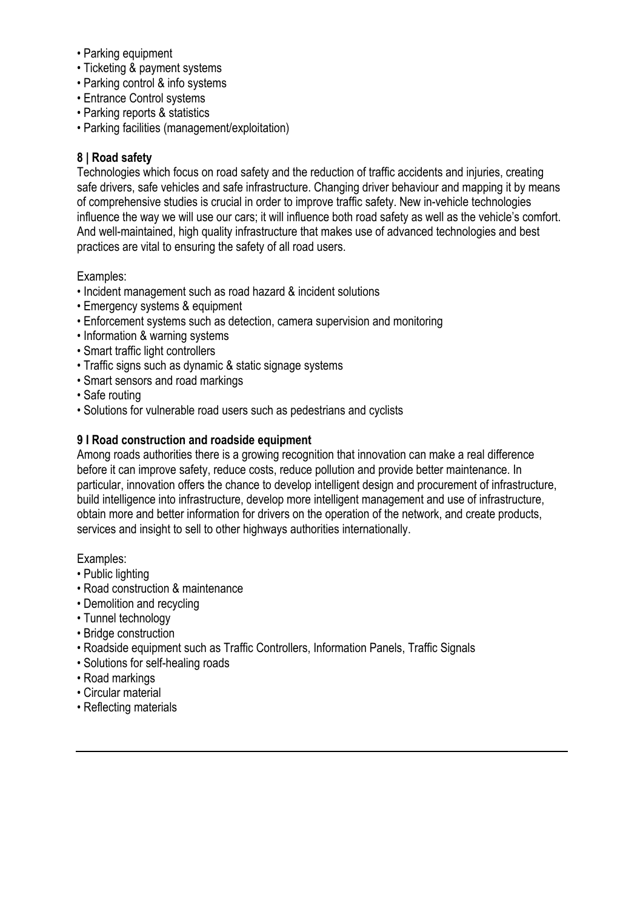- Parking equipment
- Ticketing & payment systems
- Parking control & info systems
- Entrance Control systems
- Parking reports & statistics
- Parking facilities (management/exploitation)

## **8 | Road safety**

Technologies which focus on road safety and the reduction of traffic accidents and injuries, creating safe drivers, safe vehicles and safe infrastructure. Changing driver behaviour and mapping it by means of comprehensive studies is crucial in order to improve traffic safety. New in-vehicle technologies influence the way we will use our cars; it will influence both road safety as well as the vehicle's comfort. And well-maintained, high quality infrastructure that makes use of advanced technologies and best practices are vital to ensuring the safety of all road users.

Examples:

- Incident management such as road hazard & incident solutions
- Emergency systems & equipment
- Enforcement systems such as detection, camera supervision and monitoring
- Information & warning systems
- Smart traffic light controllers
- Traffic signs such as dynamic & static signage systems
- Smart sensors and road markings
- Safe routing
- Solutions for vulnerable road users such as pedestrians and cyclists

#### **9 I Road construction and roadside equipment**

Among roads authorities there is a growing recognition that innovation can make a real difference before it can improve safety, reduce costs, reduce pollution and provide better maintenance. In particular, innovation offers the chance to develop intelligent design and procurement of infrastructure, build intelligence into infrastructure, develop more intelligent management and use of infrastructure, obtain more and better information for drivers on the operation of the network, and create products, services and insight to sell to other highways authorities internationally.

- Public lighting
- Road construction & maintenance
- Demolition and recycling
- Tunnel technology
- Bridge construction
- Roadside equipment such as Traffic Controllers, Information Panels, Traffic Signals
- Solutions for self-healing roads
- Road markings
- Circular material
- Reflecting materials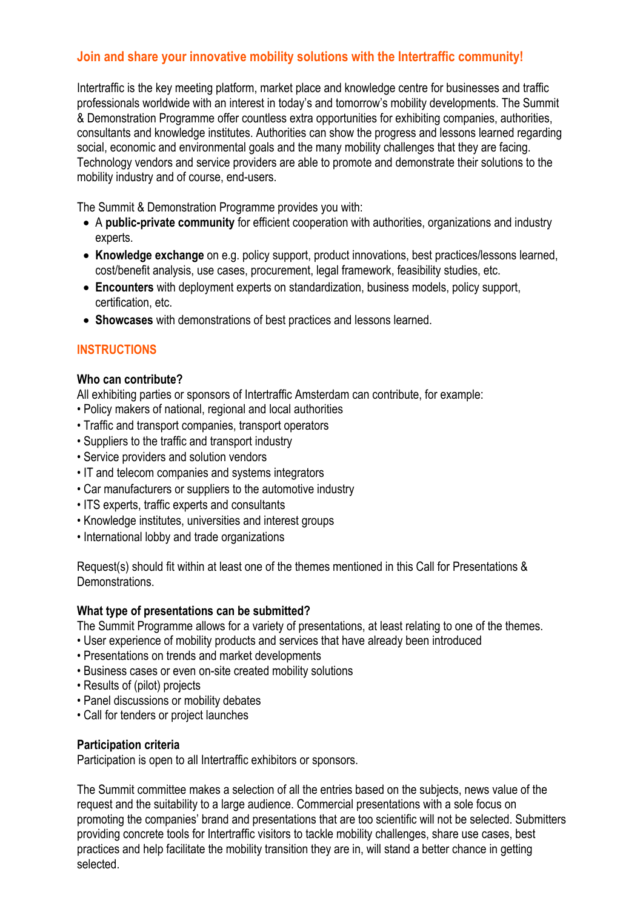# **Join and share your innovative mobility solutions with the Intertraffic community!**

Intertraffic is the key meeting platform, market place and knowledge centre for businesses and traffic professionals worldwide with an interest in today's and tomorrow's mobility developments. The Summit & Demonstration Programme offer countless extra opportunities for exhibiting companies, authorities, consultants and knowledge institutes. Authorities can show the progress and lessons learned regarding social, economic and environmental goals and the many mobility challenges that they are facing. Technology vendors and service providers are able to promote and demonstrate their solutions to the mobility industry and of course, end-users.

The Summit & Demonstration Programme provides you with:

- A **public-private community** for efficient cooperation with authorities, organizations and industry experts.
- **Knowledge exchange** on e.g. policy support, product innovations, best practices/lessons learned, cost/benefit analysis, use cases, procurement, legal framework, feasibility studies, etc.
- **Encounters** with deployment experts on standardization, business models, policy support, certification, etc.
- **Showcases** with demonstrations of best practices and lessons learned.

# **INSTRUCTIONS**

#### **Who can contribute?**

All exhibiting parties or sponsors of Intertraffic Amsterdam can contribute, for example:

- Policy makers of national, regional and local authorities
- Traffic and transport companies, transport operators
- Suppliers to the traffic and transport industry
- Service providers and solution vendors
- IT and telecom companies and systems integrators
- Car manufacturers or suppliers to the automotive industry
- ITS experts, traffic experts and consultants
- Knowledge institutes, universities and interest groups
- International lobby and trade organizations

Request(s) should fit within at least one of the themes mentioned in this Call for Presentations & **Demonstrations** 

## **What type of presentations can be submitted?**

The Summit Programme allows for a variety of presentations, at least relating to one of the themes.

- User experience of mobility products and services that have already been introduced
- Presentations on trends and market developments
- Business cases or even on-site created mobility solutions
- Results of (pilot) projects
- Panel discussions or mobility debates
- Call for tenders or project launches

#### **Participation criteria**

Participation is open to all Intertraffic exhibitors or sponsors.

The Summit committee makes a selection of all the entries based on the subjects, news value of the request and the suitability to a large audience. Commercial presentations with a sole focus on promoting the companies' brand and presentations that are too scientific will not be selected. Submitters providing concrete tools for Intertraffic visitors to tackle mobility challenges, share use cases, best practices and help facilitate the mobility transition they are in, will stand a better chance in getting selected.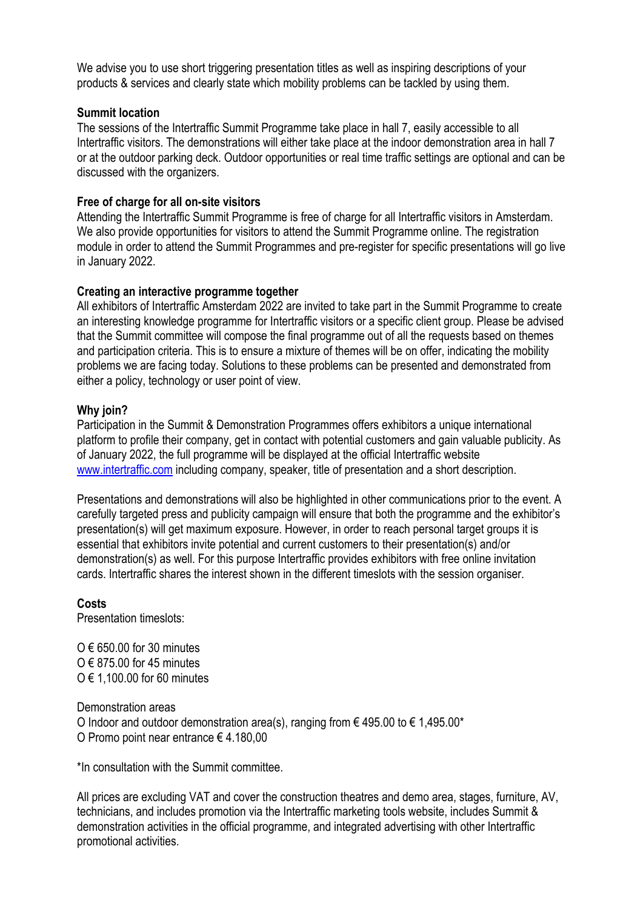We advise you to use short triggering presentation titles as well as inspiring descriptions of your products & services and clearly state which mobility problems can be tackled by using them.

#### **Summit location**

The sessions of the Intertraffic Summit Programme take place in hall 7, easily accessible to all Intertraffic visitors. The demonstrations will either take place at the indoor demonstration area in hall 7 or at the outdoor parking deck. Outdoor opportunities or real time traffic settings are optional and can be discussed with the organizers.

### **Free of charge for all on-site visitors**

Attending the Intertraffic Summit Programme is free of charge for all Intertraffic visitors in Amsterdam. We also provide opportunities for visitors to attend the Summit Programme online. The registration module in order to attend the Summit Programmes and pre-register for specific presentations will go live in January 2022.

#### **Creating an interactive programme together**

All exhibitors of Intertraffic Amsterdam 2022 are invited to take part in the Summit Programme to create an interesting knowledge programme for Intertraffic visitors or a specific client group. Please be advised that the Summit committee will compose the final programme out of all the requests based on themes and participation criteria. This is to ensure a mixture of themes will be on offer, indicating the mobility problems we are facing today. Solutions to these problems can be presented and demonstrated from either a policy, technology or user point of view.

#### **Why join?**

Participation in the Summit & Demonstration Programmes offers exhibitors a unique international platform to profile their company, get in contact with potential customers and gain valuable publicity. As of January 2022, the full programme will be displayed at the official Intertraffic website www.intertraffic.com including company, speaker, title of presentation and a short description.

Presentations and demonstrations will also be highlighted in other communications prior to the event. A carefully targeted press and publicity campaign will ensure that both the programme and the exhibitor's presentation(s) will get maximum exposure. However, in order to reach personal target groups it is essential that exhibitors invite potential and current customers to their presentation(s) and/or demonstration(s) as well. For this purpose Intertraffic provides exhibitors with free online invitation cards. Intertraffic shares the interest shown in the different timeslots with the session organiser.

#### **Costs**

Presentation timeslots:

 $O \in 650.00$  for 30 minutes  $O \in 875.00$  for 45 minutes O € 1,100.00 for 60 minutes

Demonstration areas O Indoor and outdoor demonstration area(s), ranging from  $\epsilon$  495.00 to  $\epsilon$  1,495.00\* O Promo point near entrance € 4.180,00

\*In consultation with the Summit committee.

All prices are excluding VAT and cover the construction theatres and demo area, stages, furniture, AV, technicians, and includes promotion via the Intertraffic marketing tools website, includes Summit & demonstration activities in the official programme, and integrated advertising with other Intertraffic promotional activities.